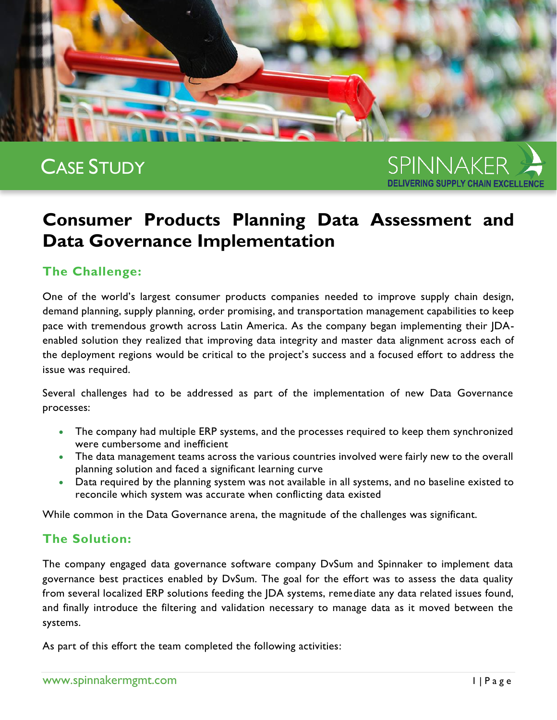

# CASE STUDY

SPINNAKER **DELIVERING SUPPLY CHAIN EXCELLENCI** 

## **Consumer Products Planning Data Assessment and Data Governance Implementation**

## **The Challenge:**

One of the world's largest consumer products companies needed to improve supply chain design, demand planning, supply planning, order promising, and transportation management capabilities to keep pace with tremendous growth across Latin America. As the company began implementing their JDAenabled solution they realized that improving data integrity and master data alignment across each of the deployment regions would be critical to the project's success and a focused effort to address the issue was required.

Several challenges had to be addressed as part of the implementation of new Data Governance processes:

- The company had multiple ERP systems, and the processes required to keep them synchronized were cumbersome and inefficient
- The data management teams across the various countries involved were fairly new to the overall planning solution and faced a significant learning curve
- Data required by the planning system was not available in all systems, and no baseline existed to reconcile which system was accurate when conflicting data existed

While common in the Data Governance arena, the magnitude of the challenges was significant.

## **The Solution:**

The company engaged data governance software company DvSum and Spinnaker to implement data governance best practices enabled by DvSum. The goal for the effort was to assess the data quality from several localized ERP solutions feeding the JDA systems, remediate any data related issues found, and finally introduce the filtering and validation necessary to manage data as it moved between the systems.

As part of this effort the team completed the following activities: